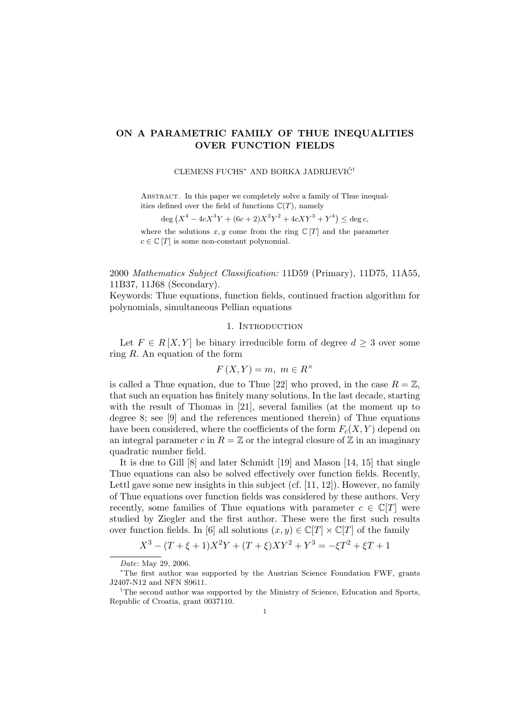# ON A PARAMETRIC FAMILY OF THUE INEQUALITIES OVER FUNCTION FIELDS

# CLEMENS FUCHS<sup>\*</sup> AND BORKA JADRIJEVIĆ<sup>†</sup>

ABSTRACT. In this paper we completely solve a family of Thue inequalities defined over the field of functions  $\mathbb{C}(T)$ , namely

$$
\deg (X^4 - 4cX^3Y + (6c+2)X^2Y^2 + 4cXY^3 + Y^4) \le \deg c,
$$

where the solutions  $x, y$  come from the ring  $\mathbb{C}[T]$  and the parameter  $c \in \mathbb{C}[T]$  is some non-constant polynomial.

2000 Mathematics Subject Classification: 11D59 (Primary), 11D75, 11A55, 11B37, 11J68 (Secondary).

Keywords: Thue equations, function fields, continued fraction algorithm for polynomials, simultaneous Pellian equations

## 1. INTRODUCTION

Let  $F \in R[X, Y]$  be binary irreducible form of degree  $d \geq 3$  over some ring  $R$ . An equation of the form

$$
F(X,Y) = m, \ m \in R^{\times}
$$

is called a Thue equation, due to Thue [22] who proved, in the case  $R = \mathbb{Z}$ , that such an equation has finitely many solutions. In the last decade, starting with the result of Thomas in [21], several families (at the moment up to degree 8; see [9] and the references mentioned therein) of Thue equations have been considered, where the coefficients of the form  $F_c(X, Y)$  depend on an integral parameter c in  $R = \mathbb{Z}$  or the integral closure of  $\mathbb{Z}$  in an imaginary quadratic number field.

It is due to Gill [8] and later Schmidt [19] and Mason [14, 15] that single Thue equations can also be solved effectively over function fields. Recently, Lettl gave some new insights in this subject (cf.  $[11, 12]$ ). However, no family of Thue equations over function fields was considered by these authors. Very recently, some families of Thue equations with parameter  $c \in \mathbb{C}[T]$  were studied by Ziegler and the first author. These were the first such results over function fields. In [6] all solutions  $(x, y) \in \mathbb{C}[T] \times \mathbb{C}[T]$  of the family

$$
X^{3} - (T + \xi + 1)X^{2}Y + (T + \xi)XY^{2} + Y^{3} = -\xi T^{2} + \xi T + 1
$$

Date: May 29, 2006.

<sup>∗</sup>The first author was supported by the Austrian Science Foundation FWF, grants J2407-N12 and NFN S9611.

<sup>†</sup>The second author was supported by the Ministry of Science, Education and Sports, Republic of Croatia, grant 0037110.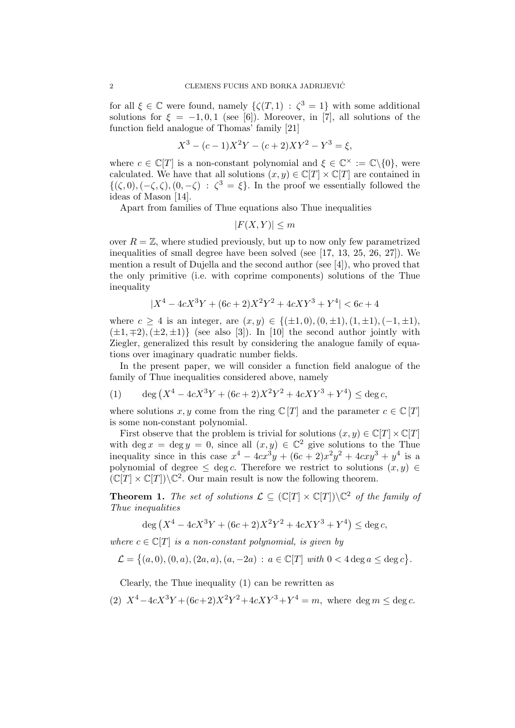for all  $\xi \in \mathbb{C}$  were found, namely  $\{\zeta(T, 1) : \zeta^3 = 1\}$  with some additional solutions for  $\xi = -1, 0, 1$  (see [6]). Moreover, in [7], all solutions of the function field analogue of Thomas' family [21]

$$
X^{3} - (c - 1)X^{2}Y - (c + 2)XY^{2} - Y^{3} = \xi,
$$

where  $c \in \mathbb{C}[T]$  is a non-constant polynomial and  $\xi \in \mathbb{C}^\times := \mathbb{C} \setminus \{0\}$ , were calculated. We have that all solutions  $(x, y) \in \mathbb{C}[T] \times \mathbb{C}[T]$  are contained in  $\{(\zeta,0),(-\zeta,\zeta),(0,-\zeta)\;:\;\zeta^3=\xi\}.$  In the proof we essentially followed the ideas of Mason [14].

Apart from families of Thue equations also Thue inequalities

 $|F(X, Y)| \leq m$ 

over  $R = \mathbb{Z}$ , where studied previously, but up to now only few parametrized inequalities of small degree have been solved (see [17, 13, 25, 26, 27]). We mention a result of Dujella and the second author (see [4]), who proved that the only primitive (i.e. with coprime components) solutions of the Thue inequality

$$
|X^4 - 4cX^3Y + (6c + 2)X^2Y^2 + 4cXY^3 + Y^4| < 6c + 4
$$

where  $c \geq 4$  is an integer, are  $(x, y) \in \{(\pm 1, 0), (0, \pm 1), (1, \pm 1), (-1, \pm 1),$  $(\pm 1, \mp 2), (\pm 2, \pm 1)$  (see also [3]). In [10] the second author jointly with Ziegler, generalized this result by considering the analogue family of equations over imaginary quadratic number fields.

In the present paper, we will consider a function field analogue of the family of Thue inequalities considered above, namely

(1) 
$$
\deg (X^4 - 4cX^3Y + (6c+2)X^2Y^2 + 4cXY^3 + Y^4) \le \deg c,
$$

where solutions x, y come from the ring  $\mathbb{C}[T]$  and the parameter  $c \in \mathbb{C}[T]$ is some non-constant polynomial.

First observe that the problem is trivial for solutions  $(x, y) \in \mathbb{C}[T] \times \mathbb{C}[T]$ with deg  $x = \deg y = 0$ , since all  $(x, y) \in \mathbb{C}^2$  give solutions to the Thue inequality since in this case  $x^4 - 4cx^3y + (6c + 2)x^2y^2 + 4cxy^3 + y^4$  is a polynomial of degree  $\leq$  deg c. Therefore we restrict to solutions  $(x, y) \in$  $(\mathbb{C}[T] \times \mathbb{C}[T]) \backslash \mathbb{C}^2$ . Our main result is now the following theorem.

**Theorem 1.** The set of solutions  $\mathcal{L} \subseteq (\mathbb{C}[T] \times \mathbb{C}[T]) \backslash \mathbb{C}^2$  of the family of Thue inequalities

$$
\deg (X^4 - 4cX^3Y + (6c + 2)X^2Y^2 + 4cXY^3 + Y^4) \le \deg c,
$$

where  $c \in \mathbb{C}[T]$  is a non-constant polynomial, is given by

$$
\mathcal{L} = \{(a,0), (0,a), (2a,a), (a,-2a) : a \in \mathbb{C}[T] \text{ with } 0 < 4 \deg a \leq \deg c\}.
$$

Clearly, the Thue inequality (1) can be rewritten as

(2) 
$$
X^4 - 4cX^3Y + (6c+2)X^2Y^2 + 4cXY^3 + Y^4 = m
$$
, where  $\deg m \le \deg c$ .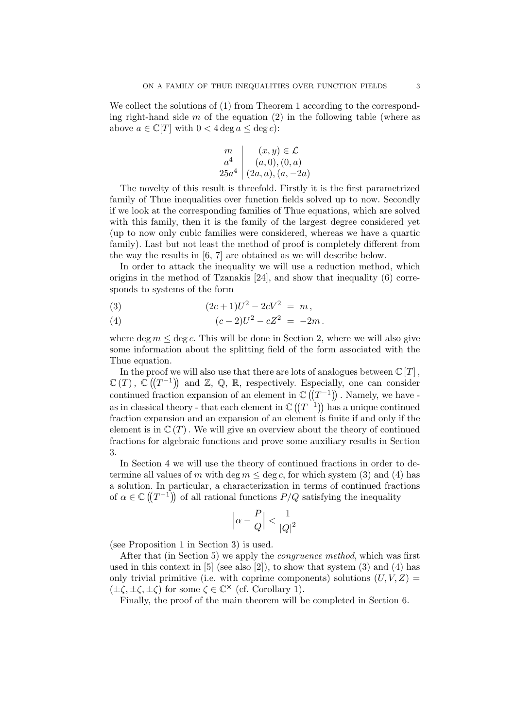We collect the solutions of  $(1)$  from Theorem 1 according to the corresponding right-hand side  $m$  of the equation  $(2)$  in the following table (where as above  $a \in \mathbb{C}[T]$  with  $0 < 4 \deg a \leq \deg c$ :

$$
\begin{array}{c|c}\nm & (x, y) \in \mathcal{L} \\
\hline\na^4 & (a, 0), (0, a) \\
25a^4 & (2a, a), (a, -2a)\n\end{array}
$$

The novelty of this result is threefold. Firstly it is the first parametrized family of Thue inequalities over function fields solved up to now. Secondly if we look at the corresponding families of Thue equations, which are solved with this family, then it is the family of the largest degree considered yet (up to now only cubic families were considered, whereas we have a quartic family). Last but not least the method of proof is completely different from the way the results in [6, 7] are obtained as we will describe below.

In order to attack the inequality we will use a reduction method, which origins in the method of Tzanakis [24], and show that inequality (6) corresponds to systems of the form

(3) 
$$
(2c+1)U^2 - 2cV^2 = m,
$$

(4) 
$$
(c-2)U^2 - cZ^2 = -2m.
$$

where deg  $m \leq \deg c$ . This will be done in Section 2, where we will also give some information about the splitting field of the form associated with the Thue equation.

In the proof we will also use that there are lots of analogues between  $\mathbb{C}[T]$ ,  $\mathbb{C}(T)$ ,  $\mathbb{C}((T^{-1}))$  and  $\mathbb{Z}$ ,  $\mathbb{Q}$ ,  $\mathbb{R}$ , respectively. Especially, one can consider continued fraction expansion of an element in  $\mathbb{C}((T^{-1}))$ . Namely, we have as in classical theory - that each element in  $\mathbb{C}((T^{-1}))$  has a unique continued fraction expansion and an expansion of an element is finite if and only if the element is in  $\mathbb{C}(T)$ . We will give an overview about the theory of continued fractions for algebraic functions and prove some auxiliary results in Section 3.

In Section 4 we will use the theory of continued fractions in order to determine all values of m with deg  $m \leq \deg c$ , for which system (3) and (4) has a solution. In particular, a characterization in terms of continued fractions of  $\alpha \in \mathbb{C}((T^{-1}))$  of all rational functions  $P/Q$  satisfying the inequality

$$
\left|\alpha - \frac{P}{Q}\right| < \frac{1}{\left|Q\right|^2}
$$

(see Proposition 1 in Section 3) is used.

After that (in Section 5) we apply the congruence method, which was first used in this context in  $[5]$  (see also  $[2]$ ), to show that system  $(3)$  and  $(4)$  has only trivial primitive (i.e. with coprime components) solutions  $(U, V, Z)$  $(\pm \zeta, \pm \zeta, \pm \zeta)$  for some  $\zeta \in \mathbb{C}^\times$  (cf. Corollary 1).

Finally, the proof of the main theorem will be completed in Section 6.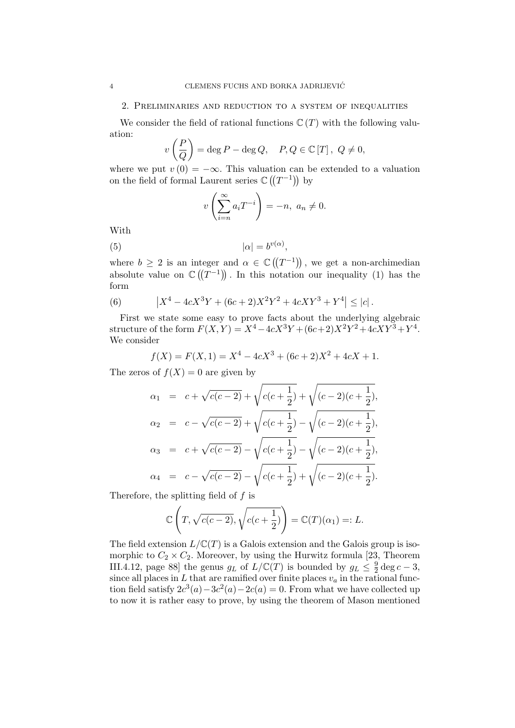#### 2. Preliminaries and reduction to a system of inequalities

We consider the field of rational functions  $\mathbb{C}(T)$  with the following valuation:

$$
v\left(\frac{P}{Q}\right) = \deg P - \deg Q, \quad P, Q \in \mathbb{C}[T], \ Q \neq 0,
$$

where we put  $v(0) = -\infty$ . This valuation can be extended to a valuation on the field of formal Laurent series  $\mathbb{C}((T^{-1}))$  by

$$
v\left(\sum_{i=n}^{\infty} a_i T^{-i}\right) = -n, \ a_n \neq 0.
$$

With

$$
(5) \t\t | \alpha | = b^{v(\alpha)},
$$

where  $b \geq 2$  is an integer and  $\alpha \in \mathbb{C}((T^{-1}))$ , we get a non-archimedian absolute value on  $\mathbb{C}((T^{-1}))$ . In this notation our inequality (1) has the form

(6) 
$$
\left|X^4 - 4cX^3Y + (6c+2)X^2Y^2 + 4cXY^3 + Y^4\right| \leq |c|.
$$

First we state some easy to prove facts about the underlying algebraic structure of the form  $F(X,Y) = X^4 - 4cX^3Y + (6c+2)X^2Y^2 + 4cXY^3 + Y^4$ . We consider

$$
f(X) = F(X, 1) = X^4 - 4cX^3 + (6c + 2)X^2 + 4cX + 1.
$$

The zeros of  $f(X) = 0$  are given by

$$
\alpha_1 = c + \sqrt{c(c-2)} + \sqrt{c(c+\frac{1}{2})} + \sqrt{(c-2)(c+\frac{1}{2})},
$$
  
\n
$$
\alpha_2 = c - \sqrt{c(c-2)} + \sqrt{c(c+\frac{1}{2})} - \sqrt{(c-2)(c+\frac{1}{2})},
$$
  
\n
$$
\alpha_3 = c + \sqrt{c(c-2)} - \sqrt{c(c+\frac{1}{2})} - \sqrt{(c-2)(c+\frac{1}{2})},
$$
  
\n
$$
\alpha_4 = c - \sqrt{c(c-2)} - \sqrt{c(c+\frac{1}{2})} + \sqrt{(c-2)(c+\frac{1}{2})}.
$$

Therefore, the splitting field of f is

$$
\mathbb{C}\left(T, \sqrt{c(c-2)}, \sqrt{c(c+\frac{1}{2})}\right) = \mathbb{C}(T)(\alpha_1) =: L.
$$

The field extension  $L/\mathbb{C}(T)$  is a Galois extension and the Galois group is isomorphic to  $C_2 \times C_2$ . Moreover, by using the Hurwitz formula [23, Theorem III.4.12, page 88 the genus  $g_L$  of  $L/\mathbb{C}(T)$  is bounded by  $g_L \leq \frac{9}{2}$  $rac{9}{2}$  deg  $c-3$ , since all places in  $L$  that are ramified over finite places  $v_a$  in the rational function field satisfy  $2c^3(a) - 3c^2(a) - 2c(a) = 0$ . From what we have collected up to now it is rather easy to prove, by using the theorem of Mason mentioned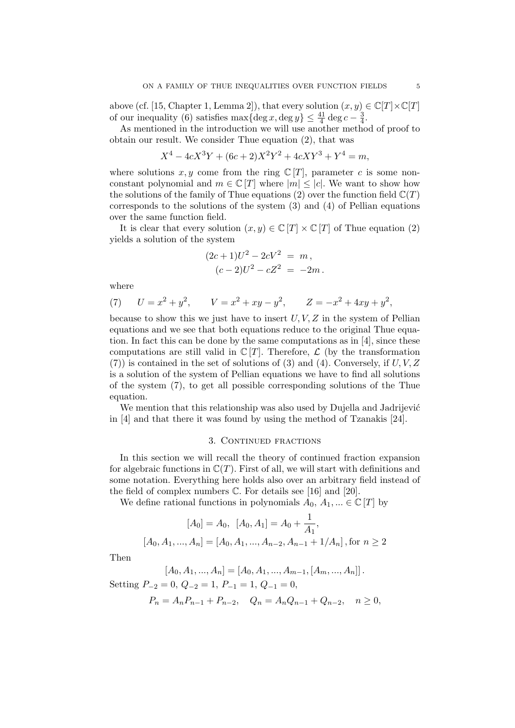above (cf. [15, Chapter 1, Lemma 2]), that every solution  $(x, y) \in \mathbb{C}[T] \times \mathbb{C}[T]$ of our inequality (6) satisfies  $\max{\{\text{deg } x, \text{deg } y\}} \leq \frac{41}{4} \deg c - \frac{3}{4}$  $\frac{3}{4}$ .

As mentioned in the introduction we will use another method of proof to obtain our result. We consider Thue equation (2), that was

$$
X^4 - 4cX^3Y + (6c + 2)X^2Y^2 + 4cXY^3 + Y^4 = m,
$$

where solutions  $x, y$  come from the ring  $\mathbb{C}[T]$ , parameter c is some nonconstant polynomial and  $m \in \mathbb{C}[T]$  where  $|m| \leq |c|$ . We want to show how the solutions of the family of Thue equations (2) over the function field  $\mathbb{C}(T)$ corresponds to the solutions of the system  $(3)$  and  $(4)$  of Pellian equations over the same function field.

It is clear that every solution  $(x, y) \in \mathbb{C}[T] \times \mathbb{C}[T]$  of Thue equation (2) yields a solution of the system

$$
(2c+1)U2 - 2cV2 = m,(c-2)U2 - cZ2 = -2m.
$$

where

(7) 
$$
U = x^2 + y^2
$$
,  $V = x^2 + xy - y^2$ ,  $Z = -x^2 + 4xy + y^2$ ,

because to show this we just have to insert  $U, V, Z$  in the system of Pellian equations and we see that both equations reduce to the original Thue equation. In fact this can be done by the same computations as in [4], since these computations are still valid in  $\mathbb{C}[T]$ . Therefore,  $\mathcal L$  (by the transformation  $(7)$ ) is contained in the set of solutions of (3) and (4). Conversely, if U, V, Z is a solution of the system of Pellian equations we have to find all solutions of the system (7), to get all possible corresponding solutions of the Thue equation.

We mention that this relationship was also used by Dujella and Jadrijević in [4] and that there it was found by using the method of Tzanakis [24].

### 3. CONTINUED FRACTIONS

In this section we will recall the theory of continued fraction expansion for algebraic functions in  $\mathbb{C}(T)$ . First of all, we will start with definitions and some notation. Everything here holds also over an arbitrary field instead of the field of complex numbers C. For details see [16] and [20].

We define rational functions in polynomials  $A_0, A_1, ... \in \mathbb{C}[T]$  by

$$
[A_0] = A_0, \ [A_0, A_1] = A_0 + \frac{1}{A_1},
$$

$$
[A_0, A_1, ..., A_n] = [A_0, A_1, ..., A_{n-2}, A_{n-1} + 1/A_n], \text{for } n \ge 2
$$

Then

$$
[A_0, A_1, ..., A_n] = [A_0, A_1, ..., A_{m-1}, [A_m, ..., A_n]]
$$

Setting  $P_{-2} = 0$ ,  $Q_{-2} = 1$ ,  $P_{-1} = 1$ ,  $Q_{-1} = 0$ ,

$$
P_n = A_n P_{n-1} + P_{n-2}, \quad Q_n = A_n Q_{n-1} + Q_{n-2}, \quad n \ge 0,
$$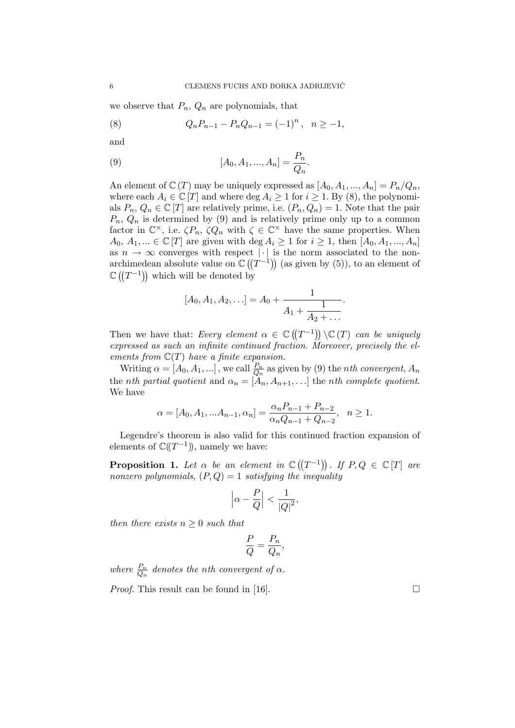we observe that  $P_n$ ,  $Q_n$  are polynomials, that

(8) 
$$
Q_n P_{n-1} - P_n Q_{n-1} = (-1)^n, \quad n \ge -1,
$$

and

(9) 
$$
[A_0, A_1, ..., A_n] = \frac{P_n}{Q_n}.
$$

An element of  $\mathbb{C}(T)$  may be uniquely expressed as  $[A_0, A_1, ..., A_n] = P_n/Q_n$ , where each  $A_i \in \mathbb{C}[T]$  and where  $\deg A_i \geq 1$  for  $i \geq 1$ . By (8), the polynomials  $P_n, Q_n \in \mathbb{C}[T]$  are relatively prime, i.e.  $(P_n, Q_n) = 1$ . Note that the pair  $P_n, Q_n$  is determined by (9) and is relatively prime only up to a common factor in  $\mathbb{C}^{\times}$ , i.e.  $\zeta P_n$ ,  $\zeta Q_n$  with  $\zeta \in \mathbb{C}^{\times}$  have the same properties. When  $A_0, A_1, \ldots \in \mathbb{C}[T]$  are given with  $\deg A_i \geq 1$  for  $i \geq 1$ , then  $[A_0, A_1, \ldots, A_n]$ as  $n \to \infty$  converges with respect | · | is the norm associated to the nonarchimedean absolute value on  $\mathbb{C}((T^{-1}))$  (as given by (5)), to an element of  $\mathbb{C}((T^{-1}))$  which will be denoted by

$$
[A_0, A_1, A_2, \ldots] = A_0 + \frac{1}{A_1 + \frac{1}{A_2 + \ldots}}.
$$

Then we have that: Every element  $\alpha \in \mathbb{C}((T^{-1})) \setminus \mathbb{C}(T)$  can be uniquely expressed as such an infinite continued fraction. Moreover, precisely the elements from  $\mathbb{C}(T)$  have a finite expansion.

Writing  $\alpha = [A_0, A_1, \ldots]$ , we call  $\frac{P_n}{Q_n}$  as given by (9) the *nth convergent*,  $A_n$ the *nth partial quotient* and  $\alpha_n = [A_n, A_{n+1}, \ldots]$  the *nth complete quotient*. We have

$$
\alpha = [A_0, A_1, \dots A_{n-1}, \alpha_n] = \frac{\alpha_n P_{n-1} + P_{n-2}}{\alpha_n Q_{n-1} + Q_{n-2}}, \quad n \ge 1.
$$

Legendre's theorem is also valid for this continued fraction expansion of elements of  $\mathbb{C}((T^{-1}))$ , namely we have:

**Proposition 1.** Let  $\alpha$  be an element in  $\mathbb{C}((T^{-1}))$ . If  $P, Q \in \mathbb{C}[T]$  are nonzero polynomials,  $(P,Q) = 1$  satisfying the inequality

$$
\left|\alpha - \frac{P}{Q}\right| < \frac{1}{\left|Q\right|^2},
$$

then there exists  $n \geq 0$  such that

$$
\frac{P}{Q} = \frac{P_n}{Q_n},
$$

where  $\frac{P_n}{Q_n}$  denotes the nth convergent of  $\alpha$ .

*Proof.* This result can be found in [16].  $\Box$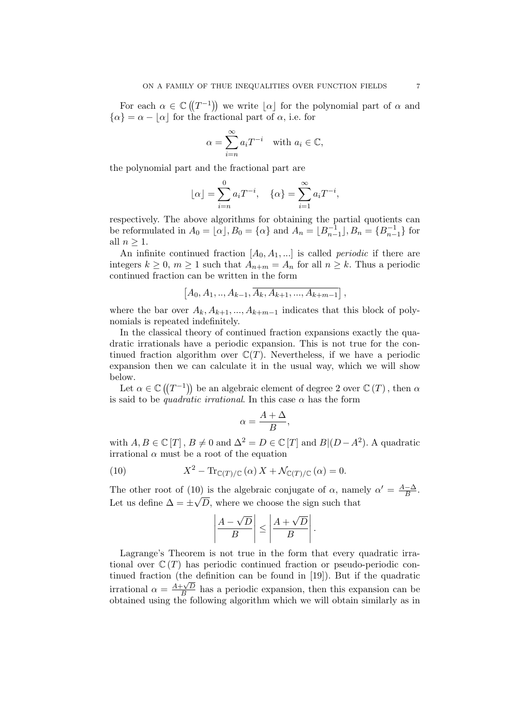For each  $\alpha \in \mathbb{C}((T^{-1}))$  we write  $\lfloor \alpha \rfloor$  for the polynomial part of  $\alpha$  and  $\{\alpha\} = \alpha - |\alpha|$  for the fractional part of  $\alpha$ , i.e. for

$$
\alpha = \sum_{i=n}^{\infty} a_i T^{-i} \quad \text{with } a_i \in \mathbb{C},
$$

the polynomial part and the fractional part are

$$
\lfloor \alpha \rfloor = \sum_{i=n}^{0} a_i T^{-i}, \quad \{\alpha\} = \sum_{i=1}^{\infty} a_i T^{-i},
$$

respectively. The above algorithms for obtaining the partial quotients can be reformulated in  $A_0 = [\alpha], B_0 = {\alpha}$  and  $A_n = [B_{n-1}^{-1}], B_n = {B_{n-1}^{-1}}$  for all  $n > 1$ .

An infinite continued fraction  $[A_0, A_1, \dots]$  is called *periodic* if there are integers  $k \geq 0$ ,  $m \geq 1$  such that  $A_{n+m} = A_n$  for all  $n \geq k$ . Thus a periodic continued fraction can be written in the form

$$
[A_0, A_1, \ldots, A_{k-1}, \overline{A_k, A_{k+1}, \ldots, A_{k+m-1}}],
$$

where the bar over  $A_k, A_{k+1}, ..., A_{k+m-1}$  indicates that this block of polynomials is repeated indefinitely.

In the classical theory of continued fraction expansions exactly the quadratic irrationals have a periodic expansion. This is not true for the continued fraction algorithm over  $\mathbb{C}(T)$ . Nevertheless, if we have a periodic expansion then we can calculate it in the usual way, which we will show below.

Let  $\alpha \in \mathbb{C}((T^{-1}))$  be an algebraic element of degree 2 over  $\mathbb{C}((T))$ , then  $\alpha$ is said to be *quadratic irrational*. In this case  $\alpha$  has the form

$$
\alpha = \frac{A + \Delta}{B},
$$

with  $A, B \in \mathbb{C}[T]$ ,  $B \neq 0$  and  $\Delta^2 = D \in \mathbb{C}[T]$  and  $B|(D-A^2)$ . A quadratic irrational  $\alpha$  must be a root of the equation

(10) 
$$
X^2 - \text{Tr}_{\mathbb{C}(T)/\mathbb{C}}(\alpha) X + \mathcal{N}_{\mathbb{C}(T)/\mathbb{C}}(\alpha) = 0.
$$

The other root of (10) is the algebraic conjugate of  $\alpha$ , namely  $\alpha' = \frac{A-\Delta}{B}$ . Let us define  $\Delta = \pm \sqrt{D}$ , where we choose the sign such that

$$
\left|\frac{A-\sqrt{D}}{B}\right| \le \left|\frac{A+\sqrt{D}}{B}\right|.
$$

Lagrange's Theorem is not true in the form that every quadratic irrational over  $\mathbb{C}(T)$  has periodic continued fraction or pseudo-periodic continued fraction (the definition can be found in [19]). But if the quadratic irrational  $\alpha = \frac{A + \sqrt{D}}{B}$  $\frac{F\sqrt{D}}{B}$  has a periodic expansion, then this expansion can be obtained using the following algorithm which we will obtain similarly as in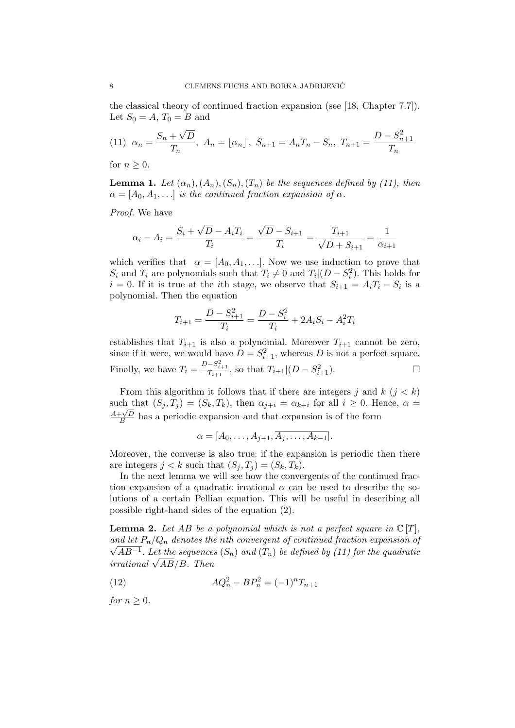the classical theory of continued fraction expansion (see [18, Chapter 7.7]). Let  $S_0 = A$ ,  $T_0 = B$  and

(11) 
$$
\alpha_n = \frac{S_n + \sqrt{D}}{T_n}
$$
,  $A_n = \lfloor \alpha_n \rfloor$ ,  $S_{n+1} = A_n T_n - S_n$ ,  $T_{n+1} = \frac{D - S_{n+1}^2}{T_n}$ 

for  $n \geq 0$ .

**Lemma 1.** Let  $(\alpha_n), (A_n), (S_n), (T_n)$  be the sequences defined by (11), then  $\alpha = [A_0, A_1, \ldots]$  is the continued fraction expansion of  $\alpha$ .

Proof. We have

$$
\alpha_i - A_i = \frac{S_i + \sqrt{D} - A_i T_i}{T_i} = \frac{\sqrt{D} - S_{i+1}}{T_i} = \frac{T_{i+1}}{\sqrt{D} + S_{i+1}} = \frac{1}{\alpha_{i+1}}
$$

which verifies that  $\alpha = [A_0, A_1, \ldots]$ . Now we use induction to prove that  $S_i$  and  $T_i$  are polynomials such that  $T_i \neq 0$  and  $T_i | (D - S_i^2)$ . This holds for  $i = 0$ . If it is true at the *i*th stage, we observe that  $S_{i+1} = A_i T_i - S_i$  is a polynomial. Then the equation

$$
T_{i+1} = \frac{D - S_{i+1}^2}{T_i} = \frac{D - S_i^2}{T_i} + 2A_iS_i - A_i^2T_i
$$

establishes that  $T_{i+1}$  is also a polynomial. Moreover  $T_{i+1}$  cannot be zero, since if it were, we would have  $D = S_{i+1}^2$ , whereas D is not a perfect square. Finally, we have  $T_i = \frac{D - S_{i+1}^2}{T_{i+1}},$  so that  $T_{i+1}|(D - S_{i+1}^2)$ .

From this algorithm it follows that if there are integers j and  $k$   $(j < k)$ such that  $(S_j, T_j) = (S_k, T_k)$ , then  $\alpha_{j+i} = \alpha_{k+i}$  for all  $i \geq 0$ . Hence,  $\alpha =$  $A + \sqrt{D}$  $\frac{F\sqrt{D}}{B}$  has a periodic expansion and that expansion is of the form

 $\alpha = [A_0, \ldots, A_{i-1}, \overline{A_i, \ldots, A_{k-1}}].$ 

Moreover, the converse is also true: if the expansion is periodic then there are integers  $j < k$  such that  $(S_j, T_j) = (S_k, T_k)$ .

In the next lemma we will see how the convergents of the continued fraction expansion of a quadratic irrational  $\alpha$  can be used to describe the solutions of a certain Pellian equation. This will be useful in describing all possible right-hand sides of the equation (2).

**Lemma 2.** Let AB be a polynomial which is not a perfect square in  $\mathbb{C}[T]$ , and let  $P_n/Q_n$  denotes the nth convergent of continued fraction expansion of  $\sqrt{AB^{-1}}$ . Let the sequences  $(S_n)$  and  $(T_n)$  be defined by (11) for the quadratic  $irrational \sqrt{AB}/B$ . Then

(12) 
$$
AQ_n^2 - BP_n^2 = (-1)^n T_{n+1}
$$

for  $n \geq 0$ .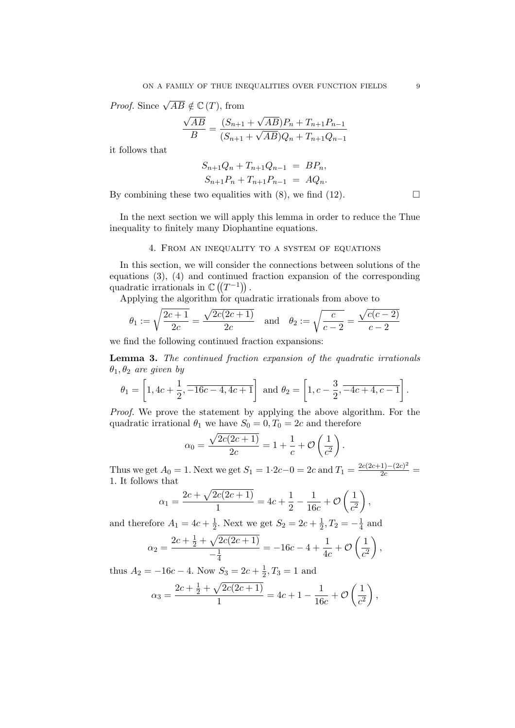*Proof.* Since  $\sqrt{AB} \notin \mathbb{C}(T)$ , from

$$
\frac{\sqrt{AB}}{B} = \frac{(S_{n+1} + \sqrt{AB})P_n + T_{n+1}P_{n-1}}{(S_{n+1} + \sqrt{AB})Q_n + T_{n+1}Q_{n-1}}
$$

it follows that

$$
S_{n+1}Q_n + T_{n+1}Q_{n-1} = BP_n,
$$
  

$$
S_{n+1}P_n + T_{n+1}P_{n-1} = AQ_n.
$$

By combining these two equalities with  $(8)$ , we find  $(12)$ .

In the next section we will apply this lemma in order to reduce the Thue inequality to finitely many Diophantine equations.

#### 4. From an inequality to a system of equations

In this section, we will consider the connections between solutions of the equations (3), (4) and continued fraction expansion of the corresponding quadratic irrationals in  $\mathbb{C}((T^{-1}))$ .

Applying the algorithm for quadratic irrationals from above to

$$
\theta_1 := \sqrt{\frac{2c+1}{2c}} = \frac{\sqrt{2c(2c+1)}}{2c}
$$
 and  $\theta_2 := \sqrt{\frac{c}{c-2}} = \frac{\sqrt{c(c-2)}}{c-2}$ 

we find the following continued fraction expansions:

Lemma 3. The continued fraction expansion of the quadratic irrationals  $\theta_1, \theta_2$  are given by

$$
\theta_1 = \left[1, 4c + \frac{1}{2}, \overline{-16c - 4, 4c + 1}\right]
$$
 and  $\theta_2 = \left[1, c - \frac{3}{2}, \overline{-4c + 4, c - 1}\right]$ .

Proof. We prove the statement by applying the above algorithm. For the quadratic irrational  $\theta_1$  we have  $S_0 = 0, T_0 = 2c$  and therefore

$$
\alpha_0 = \frac{\sqrt{2c(2c+1)}}{2c} = 1 + \frac{1}{c} + \mathcal{O}\left(\frac{1}{c^2}\right).
$$

Thus we get  $A_0 = 1$ . Next we get  $S_1 = 1 \cdot 2c - 0 = 2c$  and  $T_1 = \frac{2c(2c+1)-(2c)^2}{2c}$ 1. It follows that

$$
\alpha_1 = \frac{2c + \sqrt{2c(2c+1)}}{1} = 4c + \frac{1}{2} - \frac{1}{16c} + \mathcal{O}\left(\frac{1}{c^2}\right),
$$

and therefore  $A_1 = 4c + \frac{1}{2}$  $\frac{1}{2}$ . Next we get  $S_2 = 2c + \frac{1}{2}$  $\frac{1}{2}, T_2 = -\frac{1}{4}$  $\frac{1}{4}$  and

$$
\alpha_2 = \frac{2c + \frac{1}{2} + \sqrt{2c(2c + 1)}}{-\frac{1}{4}} = -16c - 4 + \frac{1}{4c} + \mathcal{O}\left(\frac{1}{c^2}\right),
$$

thus  $A_2 = -16c - 4$ . Now  $S_3 = 2c + \frac{1}{2}$  $\frac{1}{2}$ ,  $T_3 = 1$  and

$$
\alpha_3 = \frac{2c + \frac{1}{2} + \sqrt{2c(2c + 1)}}{1} = 4c + 1 - \frac{1}{16c} + \mathcal{O}\left(\frac{1}{c^2}\right),
$$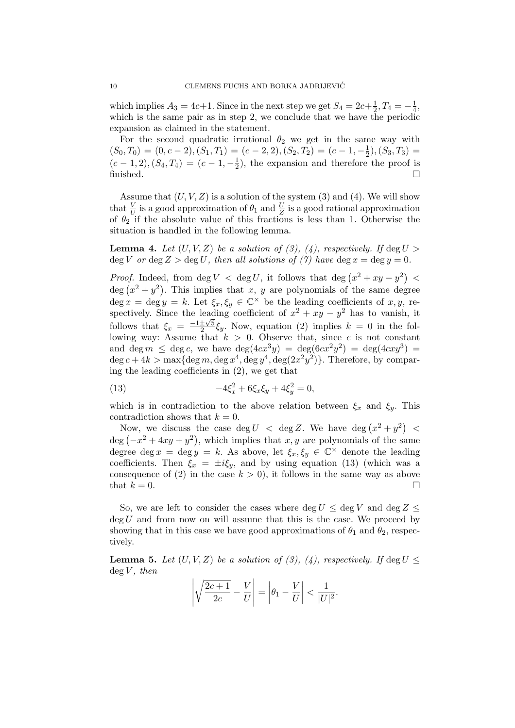which implies  $A_3 = 4c+1$ . Since in the next step we get  $S_4 = 2c+\frac{1}{2}$  $\frac{1}{2}$ ,  $T_4 = -\frac{1}{4}$  $\frac{1}{4}$ , which is the same pair as in step 2, we conclude that we have the periodic expansion as claimed in the statement.

For the second quadratic irrational  $\theta_2$  we get in the same way with  $(S_0, T_0) = (0, c - 2), (S_1, T_1) = (c - 2, 2), (S_2, T_2) = (c - 1, -\frac{1}{2})$  $(\frac{1}{2}), (S_3, T_3) =$  $(c-1, 2), (S_4, T_4) = (c-1, -\frac{1}{2})$  $(\frac{1}{2})$ , the expansion and therefore the proof is finished.  $\Box$ 

Assume that  $(U, V, Z)$  is a solution of the system (3) and (4). We will show that  $\frac{V}{U}$  is a good approximation of  $\theta_1$  and  $\frac{U}{Z}$  is a good rational approximation of  $\theta_2$  if the absolute value of this fractions is less than 1. Otherwise the situation is handled in the following lemma.

**Lemma 4.** Let  $(U, V, Z)$  be a solution of (3), (4), respectively. If  $\deg U$ deg V or deg  $Z > \deg U$ , then all solutions of (7) have deg  $x = \deg y = 0$ .

*Proof.* Indeed, from  $\deg V < \deg U$ , it follows that  $\deg (x^2 + xy - y^2)$ deg  $(x^2 + y^2)$ . This implies that x, y are polynomials of the same degree  $\deg x = \deg y = k.$  Let  $\xi_x, \xi_y \in \mathbb{C}^\times$  be the leading coefficients of  $x, y$ , respectively. Since the leading coefficient of  $x^2 + xy - y^2$  has to vanish, it follows that  $\xi_x = \frac{-1 \pm \sqrt{5}}{2}$  $\frac{\pm\sqrt{5}}{2}\xi_y$ . Now, equation (2) implies  $k = 0$  in the following way: Assume that  $k > 0$ . Observe that, since c is not constant and deg  $m \leq \deg c$ , we have  $\deg(4cx^3y) = \deg(6cx^2y^2) = \deg(4cxy^3) =$ deg  $c + 4k > \max\{\deg m, \deg x^4, \deg y^4, \deg(2x^2y^2)\}\.$  Therefore, by comparing the leading coefficients in (2), we get that

(13) 
$$
-4\xi_x^2 + 6\xi_x \xi_y + 4\xi_y^2 = 0,
$$

which is in contradiction to the above relation between  $\xi_x$  and  $\xi_y$ . This contradiction shows that  $k = 0$ .

Now, we discuss the case  $\deg U < \deg Z$ . We have  $\deg (x^2 + y^2) <$  $\deg(-x^2+4xy+y^2)$ , which implies that  $x, y$  are polynomials of the same degree deg  $x = \deg y = k$ . As above, let  $\xi_x, \xi_y \in \mathbb{C}^\times$  denote the leading coefficients. Then  $\xi_x = \pm i \xi_y$ , and by using equation (13) (which was a consequence of (2) in the case  $k > 0$ , it follows in the same way as above that  $k = 0$ .

So, we are left to consider the cases where deg  $U \leq \text{deg } V$  and  $\text{deg } Z \leq$  $\deg U$  and from now on will assume that this is the case. We proceed by showing that in this case we have good approximations of  $\theta_1$  and  $\theta_2$ , respectively.

**Lemma 5.** Let  $(U, V, Z)$  be a solution of (3), (4), respectively. If deg  $U \leq$  $\deg V$ , then

$$
\left|\sqrt{\frac{2c+1}{2c}} - \frac{V}{U}\right| = \left|\theta_1 - \frac{V}{U}\right| < \frac{1}{|U|^2}.
$$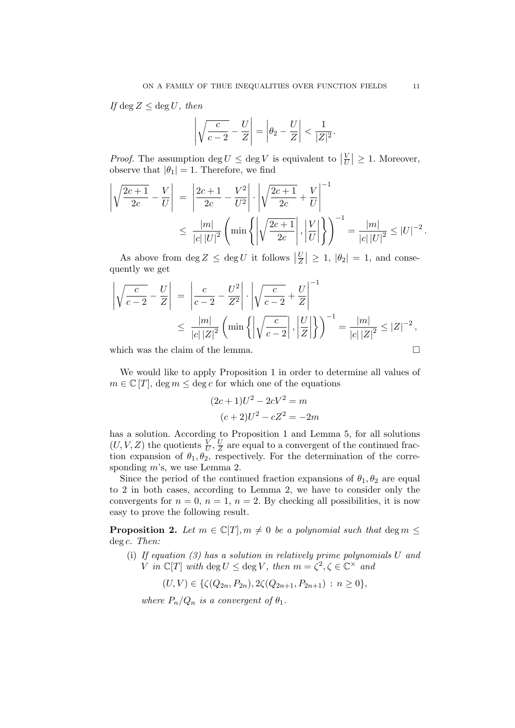If  $\deg Z \leq \deg U$ , then

$$
\left|\sqrt{\frac{c}{c-2}}-\frac{U}{Z}\right|=\left|\theta_2-\frac{U}{Z}\right|<\frac{1}{|Z|^2}.
$$

*Proof.* The assumption deg  $U \leq \deg V$  is equivalent to  $\left|\frac{V}{U}\right|$  $\left|\frac{V}{U}\right| \geq 1$ . Moreover, observe that  $|\theta_1| = 1$ . Therefore, we find

$$
\left| \sqrt{\frac{2c+1}{2c}} - \frac{V}{U} \right| = \left| \frac{2c+1}{2c} - \frac{V^2}{U^2} \right| \cdot \left| \sqrt{\frac{2c+1}{2c}} + \frac{V}{U} \right|^{-1}
$$
  

$$
\leq \frac{|m|}{|c| |U|^2} \left( \min \left\{ \left| \sqrt{\frac{2c+1}{2c}} \right|, \left| \frac{V}{U} \right| \right\} \right)^{-1} = \frac{|m|}{|c| |U|^2} \leq |U|^{-2}.
$$

As above from  $\deg Z \leq \deg U$  it follows  $\left|\frac{U}{Z}\right|$  $\left| \frac{U}{Z} \right| \geq 1$ ,  $\left| \theta_2 \right| = 1$ , and consequently we get

$$
\left| \sqrt{\frac{c}{c-2}} - \frac{U}{Z} \right| = \left| \frac{c}{c-2} - \frac{U^2}{Z^2} \right| \cdot \left| \sqrt{\frac{c}{c-2}} + \frac{U}{Z} \right|^{-1}
$$
  

$$
\leq \frac{|m|}{|c| |Z|^2} \left( \min \left\{ \left| \sqrt{\frac{c}{c-2}} \right|, \left| \frac{U}{Z} \right| \right\} \right)^{-1} = \frac{|m|}{|c| |Z|^2} \leq |Z|^{-2},
$$

which was the claim of the lemma.  $\Box$ 

We would like to apply Proposition 1 in order to determine all values of  $m \in \mathbb{C}[T]$ , deg  $m \leq \text{deg } c$  for which one of the equations

$$
(2c+1)U2 - 2cV2 = m
$$

$$
(c+2)U2 - cZ2 = -2m
$$

has a solution. According to Proposition 1 and Lemma 5, for all solutions  $(U, V, Z)$  the quotients  $\frac{V}{U}, \frac{U}{Z}$  $\frac{U}{Z}$  are equal to a convergent of the continued fraction expansion of  $\theta_1, \theta_2$ , respectively. For the determination of the corresponding m's, we use Lemma 2.

Since the period of the continued fraction expansions of  $\theta_1, \theta_2$  are equal to 2 in both cases, according to Lemma 2, we have to consider only the convergents for  $n = 0$ ,  $n = 1$ ,  $n = 2$ . By checking all possibilities, it is now easy to prove the following result.

**Proposition 2.** Let  $m \in \mathbb{C}[T], m \neq 0$  be a polynomial such that deg  $m \leq$ deg c. Then:

(i) If equation (3) has a solution in relatively prime polynomials U and V in  $\mathbb{C}[T]$  with  $\deg U \leq \deg V$ , then  $m = \zeta^2, \zeta \in \mathbb{C}^\times$  and

 $(U, V) \in \{ \zeta(Q_{2n}, P_{2n}), 2\zeta(Q_{2n+1}, P_{2n+1}) : n \geq 0 \},\$ 

where  $P_n/Q_n$  is a convergent of  $\theta_1$ .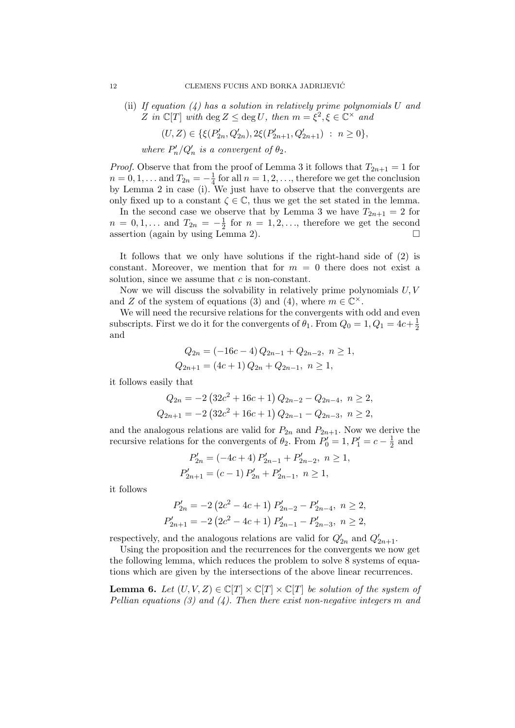(ii) If equation  $(4)$  has a solution in relatively prime polynomials U and Z in  $\mathbb{C}[T]$  with  $\deg Z \leq \deg U$ , then  $m = \xi^2, \xi \in \mathbb{C}^\times$  and

$$
(U, Z) \in \{ \xi(P'_{2n}, Q'_{2n}), 2\xi(P'_{2n+1}, Q'_{2n+1}) \; : \; n \ge 0 \},\
$$

where  $P'_n/Q'_n$  is a convergent of  $\theta_2$ .

*Proof.* Observe that from the proof of Lemma 3 it follows that  $T_{2n+1} = 1$  for  $n = 0, 1, \ldots$  and  $T_{2n} = -\frac{1}{4}$  $\frac{1}{4}$  for all  $n = 1, 2, \ldots$ , therefore we get the conclusion by Lemma 2 in case (i). We just have to observe that the convergents are only fixed up to a constant  $\zeta \in \mathbb{C}$ , thus we get the set stated in the lemma.

In the second case we observe that by Lemma 3 we have  $T_{2n+1} = 2$  for  $n = 0, 1, \ldots$  and  $T_{2n} = -\frac{1}{2}$  $\frac{1}{2}$  for  $n = 1, 2, \ldots$ , therefore we get the second assertion (again by using Lemma 2).  $\Box$ 

It follows that we only have solutions if the right-hand side of (2) is constant. Moreover, we mention that for  $m = 0$  there does not exist a solution, since we assume that  $c$  is non-constant.

Now we will discuss the solvability in relatively prime polynomials  $U, V$ and Z of the system of equations (3) and (4), where  $m \in \mathbb{C}^{\times}$ .

We will need the recursive relations for the convergents with odd and even subscripts. First we do it for the convergents of  $\theta_1$ . From  $Q_0 = 1, Q_1 = 4c + \frac{1}{2}$ 2 and

$$
Q_{2n} = (-16c - 4) Q_{2n-1} + Q_{2n-2}, \quad n \ge 1,
$$
  

$$
Q_{2n+1} = (4c + 1) Q_{2n} + Q_{2n-1}, \quad n \ge 1,
$$

it follows easily that

$$
Q_{2n} = -2\left(32c^2 + 16c + 1\right)Q_{2n-2} - Q_{2n-4}, \ n \ge 2,
$$
  

$$
Q_{2n+1} = -2\left(32c^2 + 16c + 1\right)Q_{2n-1} - Q_{2n-3}, \ n \ge 2,
$$

and the analogous relations are valid for  $P_{2n}$  and  $P_{2n+1}$ . Now we derive the recursive relations for the convergents of  $\theta_2$ . From  $P'_0 = 1, P'_1 = c - \frac{1}{2}$  $\frac{1}{2}$  and

$$
P'_{2n} = (-4c+4) P'_{2n-1} + P'_{2n-2}, \ n \ge 1,
$$
  

$$
P'_{2n+1} = (c-1) P'_{2n} + P'_{2n-1}, \ n \ge 1,
$$

it follows

$$
P'_{2n} = -2\left(2c^2 - 4c + 1\right)P'_{2n-2} - P'_{2n-4}, \ n \ge 2,
$$
  

$$
P'_{2n+1} = -2\left(2c^2 - 4c + 1\right)P'_{2n-1} - P'_{2n-3}, \ n \ge 2,
$$

respectively, and the analogous relations are valid for  $Q'_{2n}$  and  $Q'_{2n+1}$ .

Using the proposition and the recurrences for the convergents we now get the following lemma, which reduces the problem to solve 8 systems of equations which are given by the intersections of the above linear recurrences.

**Lemma 6.** Let  $(U, V, Z) \in \mathbb{C}[T] \times \mathbb{C}[T] \times \mathbb{C}[T]$  be solution of the system of Pellian equations (3) and (4). Then there exist non-negative integers m and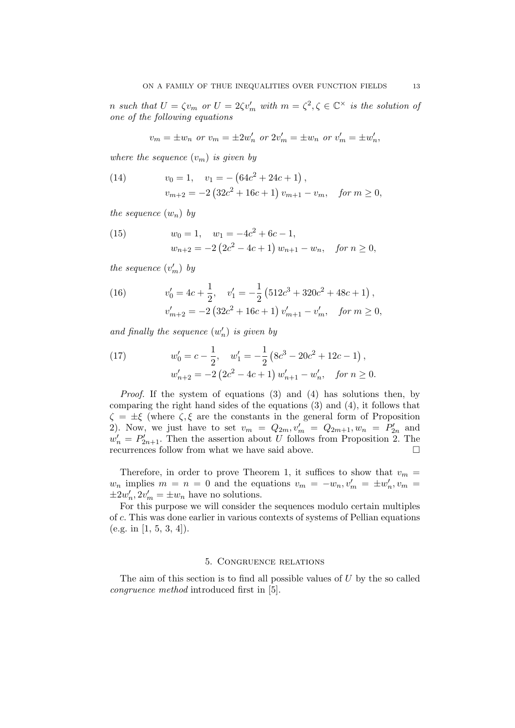n such that  $U = \zeta v_m$  or  $U = 2\zeta v'_m$  with  $m = \zeta^2, \zeta \in \mathbb{C}^\times$  is the solution of one of the following equations

$$
v_m = \pm w_n
$$
 or  $v_m = \pm 2w'_n$  or  $2v'_m = \pm w_n$  or  $v'_m = \pm w'_n$ ,

where the sequence  $(v_m)$  is given by

(14) 
$$
v_0 = 1, \quad v_1 = -(64c^2 + 24c + 1),
$$

$$
v_{m+2} = -2(32c^2 + 16c + 1) v_{m+1} - v_m, \quad \text{for } m \ge 0,
$$

the sequence  $(w_n)$  by

(15) 
$$
w_0 = 1, \quad w_1 = -4c^2 + 6c - 1,
$$

$$
w_{n+2} = -2(2c^2 - 4c + 1) w_{n+1} - w_n, \quad \text{for } n \ge 0,
$$

the sequence  $(v'_m)$  by

(16) 
$$
v'_0 = 4c + \frac{1}{2}, \quad v'_1 = -\frac{1}{2} \left( 512c^3 + 320c^2 + 48c + 1 \right),
$$

$$
v'_{m+2} = -2 \left( 32c^2 + 16c + 1 \right) v'_{m+1} - v'_{m}, \quad \text{for } m \ge 0,
$$

and finally the sequence  $(w'_n)$  is given by

(17) 
$$
w'_0 = c - \frac{1}{2}, \quad w'_1 = -\frac{1}{2} \left( 8c^3 - 20c^2 + 12c - 1 \right),
$$

$$
w'_{n+2} = -2 \left( 2c^2 - 4c + 1 \right) w'_{n+1} - w'_n, \quad \text{for } n \ge 0.
$$

Proof. If the system of equations (3) and (4) has solutions then, by comparing the right hand sides of the equations (3) and (4), it follows that  $\zeta = \pm \xi$  (where  $\zeta, \xi$  are the constants in the general form of Proposition 2). Now, we just have to set  $v_m = Q_{2m}, v'_m = Q_{2m+1}, w_n = P'_{2n}$  and  $w'_n = P'_{2n+1}$ . Then the assertion about U follows from Proposition 2. The recurrences follow from what we have said above.  $\Box$ 

Therefore, in order to prove Theorem 1, it suffices to show that  $v_m =$  $w_n$  implies  $m = n = 0$  and the equations  $v_m = -w_n, v'_m = \pm w'_n, v_m = 0$  $\pm 2w'_n, 2v'_m = \pm w_n$  have no solutions.

For this purpose we will consider the sequences modulo certain multiples of c. This was done earlier in various contexts of systems of Pellian equations  $(e.g. in [1, 5, 3, 4]).$ 

## 5. Congruence relations

The aim of this section is to find all possible values of  $U$  by the so called congruence method introduced first in [5].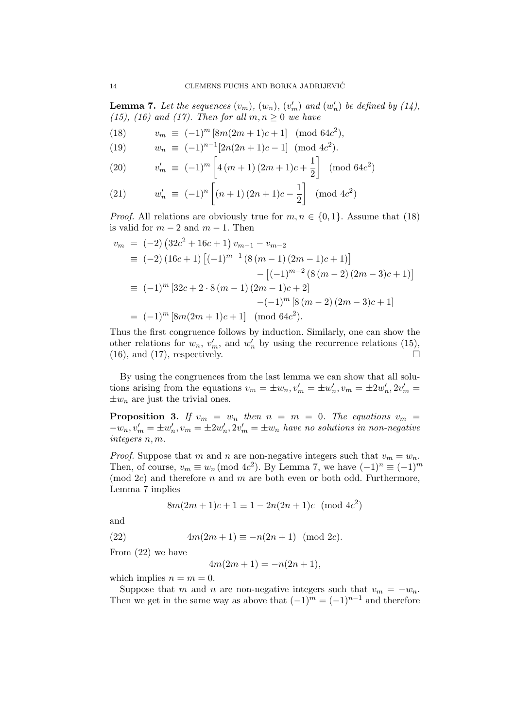**Lemma 7.** Let the sequences  $(v_m)$ ,  $(w_n)$ ,  $(v'_m)$  and  $(w'_n)$  be defined by  $(14)$ , (15), (16) and (17). Then for all  $m, n \geq 0$  we have

(18) 
$$
v_m \equiv (-1)^m [8m(2m+1)c+1] \pmod{64c^2},
$$

(19) 
$$
w_n \equiv (-1)^{n-1} [2n(2n+1)c-1] \pmod{4c^2}.
$$

(20) 
$$
v'_m \equiv (-1)^m \left[ 4(m+1)(2m+1)c + \frac{1}{2} \right] \pmod{64c^2}
$$

(21) 
$$
w'_n \equiv (-1)^n \left[ (n+1) (2n+1)c - \frac{1}{2} \right] \pmod{4c^2}
$$

*Proof.* All relations are obviously true for  $m, n \in \{0, 1\}$ . Assume that (18) is valid for  $m-2$  and  $m-1$ . Then

$$
v_m = (-2) (32c^2 + 16c + 1) v_{m-1} - v_{m-2}
$$
  
\n
$$
\equiv (-2) (16c + 1) [(-1)^{m-1} (8(m - 1) (2m - 1)c + 1)]
$$
  
\n
$$
- [(-1)^{m-2} (8(m - 2) (2m - 3)c + 1)]
$$
  
\n
$$
\equiv (-1)^m [32c + 2 \cdot 8(m - 1) (2m - 1)c + 2]
$$
  
\n
$$
-(-1)^m [8(m - 2) (2m - 3)c + 1]
$$
  
\n
$$
= (-1)^m [8m(2m + 1)c + 1] \pmod{64c^2}.
$$

Thus the first congruence follows by induction. Similarly, one can show the other relations for  $w_n$ ,  $v'_m$ , and  $w'_n$  by using the recurrence relations (15),  $(16)$ , and  $(17)$ , respectively.

By using the congruences from the last lemma we can show that all solutions arising from the equations  $v_m = \pm w_n, v'_m = \pm w'_n, v_m = \pm 2w'_n, 2v'_m =$  $\pm w_n$  are just the trivial ones.

**Proposition 3.** If  $v_m = w_n$  then  $n = m = 0$ . The equations  $v_m =$  $-w_n, v'_m = \pm w'_n, v_m = \pm 2w'_n, 2v'_m = \pm w_n$  have no solutions in non-negative integers n, m.

*Proof.* Suppose that m and n are non-negative integers such that  $v_m = w_n$ . Then, of course,  $v_m \equiv w_n \pmod{4c^2}$ . By Lemma 7, we have  $(-1)^n \equiv (-1)^m$  $(mod 2c)$  and therefore n and m are both even or both odd. Furthermore, Lemma 7 implies

$$
8m(2m+1)c + 1 \equiv 1 - 2n(2n+1)c \pmod{4c^2}
$$

and

(22) 
$$
4m(2m+1) \equiv -n(2n+1) \pmod{2c}
$$
.

From (22) we have

$$
4m(2m+1) = -n(2n+1),
$$

which implies  $n = m = 0$ .

Suppose that m and n are non-negative integers such that  $v_m = -w_n$ . Then we get in the same way as above that  $(-1)^{m} = (-1)^{n-1}$  and therefore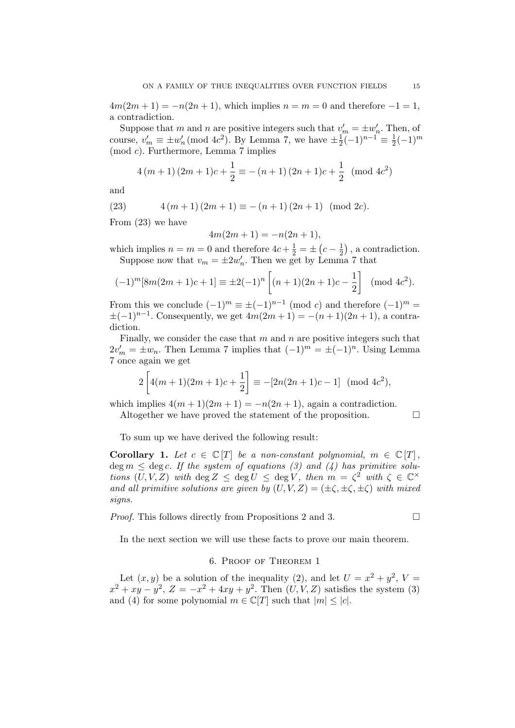$4m(2m+1) = -n(2n+1)$ , which implies  $n = m = 0$  and therefore  $-1 = 1$ , a contradiction.

Suppose that m and n are positive integers such that  $v'_m = \pm w'_n$ . Then, of course,  $v'_m \equiv \pm w'_n \pmod{4c^2}$ . By Lemma 7, we have  $\pm \frac{1}{2}$  $\frac{1}{2}(-1)^{n-1} \equiv \frac{1}{2}$  $\frac{1}{2}(-1)^m$ (mod c). Furthermore, Lemma 7 implies

$$
4(m+1)(2m+1)c + \frac{1}{2} \equiv -(n+1)(2n+1)c + \frac{1}{2} \pmod{4c^2}
$$

and

(23) 
$$
4(m+1)(2m+1) \equiv -(n+1)(2n+1) \pmod{2c}.
$$

From (23) we have

$$
4m(2m+1) = -n(2n+1),
$$

which implies  $n = m = 0$  and therefore  $4c + \frac{1}{2} = \pm (c - \frac{1}{2})$  $(\frac{1}{2})$ , a contradiction. Suppose now that  $v_m = \pm 2w'_n$ . Then we get by Lemma 7 that

$$
(-1)^{m}[8m(2m+1)c+1] \equiv \pm 2(-1)^{n} \left[ (n+1)(2n+1)c - \frac{1}{2} \right] \pmod{4c^{2}}.
$$

From this we conclude  $(-1)^m \equiv \pm (-1)^{n-1}$  (mod c) and therefore  $(-1)^m =$  $\pm(-1)^{n-1}$ . Consequently, we get  $4m(2m+1) = -(n+1)(2n+1)$ , a contradiction.

Finally, we consider the case that  $m$  and  $n$  are positive integers such that  $2v'_m = \pm w_n$ . Then Lemma 7 implies that  $(-1)^m = \pm (-1)^n$ . Using Lemma 7 once again we get

$$
2\left[4(m+1)(2m+1)c+\frac{1}{2}\right] \equiv -[2n(2n+1)c-1] \pmod{4c^2},
$$

which implies  $4(m+1)(2m+1) = -n(2n+1)$ , again a contradiction.

Altogether we have proved the statement of the proposition.  $\Box$ 

To sum up we have derived the following result:

**Corollary 1.** Let  $c \in \mathbb{C}[T]$  be a non-constant polynomial,  $m \in \mathbb{C}[T]$ , deg  $m \leq$  deg c. If the system of equations (3) and (4) has primitive solutions  $(U, V, Z)$  with  $\deg Z \leq \deg U \leq \deg V$ , then  $m = \zeta^2$  with  $\zeta \in \mathbb{C}^\times$ and all primitive solutions are given by  $(U, V, Z) = (\pm \zeta, \pm \zeta, \pm \zeta)$  with mixed signs.

*Proof.* This follows directly from Propositions 2 and 3.  $\Box$ 

In the next section we will use these facts to prove our main theorem.

## 6. Proof of Theorem 1

Let  $(x, y)$  be a solution of the inequality (2), and let  $U = x^2 + y^2$ ,  $V =$  $x^2 + xy - y^2$ ,  $Z = -x^2 + 4xy + y^2$ . Then  $(U, V, Z)$  satisfies the system (3) and (4) for some polynomial  $m \in \mathbb{C}[T]$  such that  $|m| < |c|$ .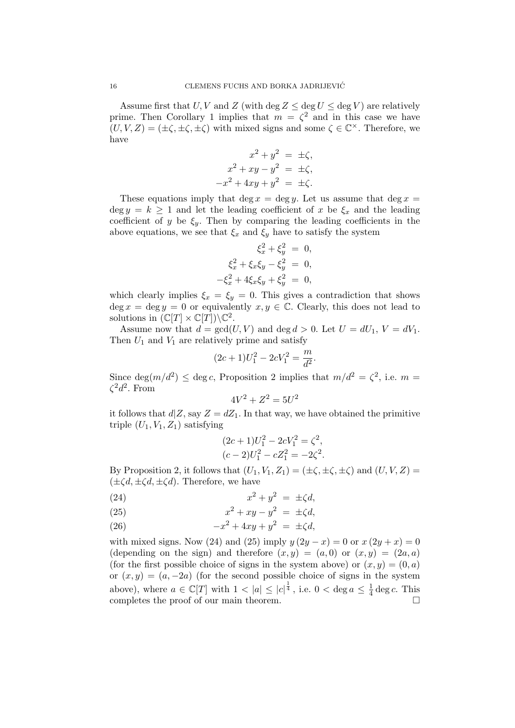Assume first that U, V and Z (with deg  $Z \le \deg U \le \deg V$ ) are relatively prime. Then Corollary 1 implies that  $m = \zeta^2$  and in this case we have  $(U, V, Z) = (\pm \zeta, \pm \zeta, \pm \zeta)$  with mixed signs and some  $\zeta \in \mathbb{C}^{\times}$ . Therefore, we have

$$
x2 + y2 = \pm \zeta,
$$
  
\n
$$
x2 + xy - y2 = \pm \zeta,
$$
  
\n
$$
-x2 + 4xy + y2 = \pm \zeta.
$$

These equations imply that deg  $x = \deg y$ . Let us assume that  $\deg x =$ deg  $y = k \ge 1$  and let the leading coefficient of x be  $\xi_x$  and the leading coefficient of y be  $\xi_y$ . Then by comparing the leading coefficients in the above equations, we see that  $\xi_x$  and  $\xi_y$  have to satisfy the system

$$
\xi_x^2 + \xi_y^2 = 0, \n\xi_x^2 + \xi_x \xi_y - \xi_y^2 = 0, \n-\xi_x^2 + 4\xi_x \xi_y + \xi_y^2 = 0,
$$

which clearly implies  $\xi_x = \xi_y = 0$ . This gives a contradiction that shows deg  $x = \deg y = 0$  or equivalently  $x, y \in \mathbb{C}$ . Clearly, this does not lead to solutions in  $(\mathbb{C}[T] \times \mathbb{C}[T]) \backslash \mathbb{C}^2$ .

Assume now that  $d = \gcd(U, V)$  and  $\deg d > 0$ . Let  $U = dU_1$ ,  $V = dV_1$ . Then  $U_1$  and  $V_1$  are relatively prime and satisfy

$$
(2c+1)U_1^2 - 2cV_1^2 = \frac{m}{d^2}.
$$

Since  $\deg(m/d^2) \leq \deg c$ , Proposition 2 implies that  $m/d^2 = \zeta^2$ , i.e.  $m =$  $\zeta^2 d^2$ . From

$$
4V^2 + Z^2 = 5U^2
$$

it follows that  $d|Z$ , say  $Z = dZ_1$ . In that way, we have obtained the primitive triple  $(U_1, V_1, Z_1)$  satisfying

$$
(2c+1)U_1^2 - 2cV_1^2 = \zeta^2,
$$
  

$$
(c-2)U_1^2 - cZ_1^2 = -2\zeta^2.
$$

By Proposition 2, it follows that  $(U_1, V_1, Z_1) = (\pm \zeta, \pm \zeta, \pm \zeta)$  and  $(U, V, Z) =$  $(\pm \zeta d, \pm \zeta d, \pm \zeta d)$ . Therefore, we have

$$
(24) \t\t\t x2 + y2 = \pm \zeta d,
$$

(25) 
$$
x^2 + xy - y^2 = \pm \zeta d,
$$

(26) 
$$
-x^2 + 4xy + y^2 = \pm \zeta d,
$$

with mixed signs. Now (24) and (25) imply  $y(2y - x) = 0$  or  $x(2y + x) = 0$ (depending on the sign) and therefore  $(x, y) = (a, 0)$  or  $(x, y) = (2a, a)$ (for the first possible choice of signs in the system above) or  $(x, y) = (0, a)$ or  $(x, y) = (a, -2a)$  (for the second possible choice of signs in the system above), where  $a \in \mathbb{C}[T]$  with  $1 < |a| \leq |c|^{\frac{1}{4}}$ , i.e.  $0 < \deg a \leq \frac{1}{4}$  $\frac{1}{4}$  deg c. This completes the proof of our main theorem.  $\Box$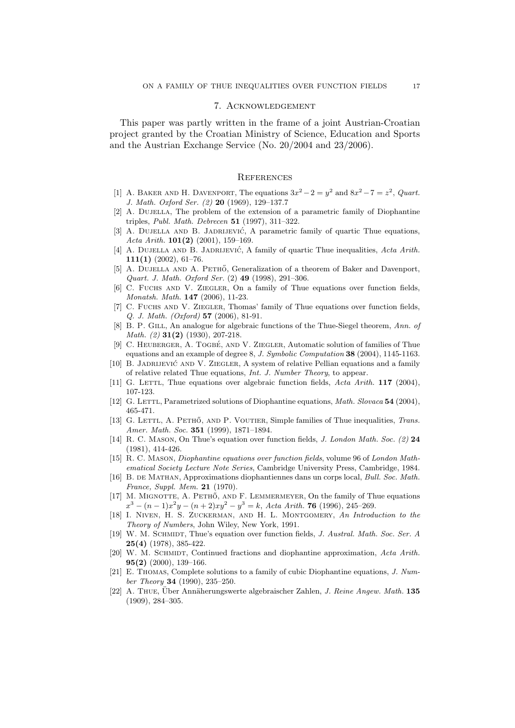#### 7. Acknowledgement

This paper was partly written in the frame of a joint Austrian-Croatian project granted by the Croatian Ministry of Science, Education and Sports and the Austrian Exchange Service (No. 20/2004 and 23/2006).

### **REFERENCES**

- [1] A. BAKER AND H. DAVENPORT, The equations  $3x^2 2 = y^2$  and  $8x^2 7 = z^2$ , *Quart.* J. Math. Oxford Ser. (2) 20 (1969), 129–137.7
- [2] A. DUJELLA, The problem of the extension of a parametric family of Diophantine triples, Publ. Math. Debrecen 51 (1997), 311–322.
- [3] A. DUJELLA AND B. JADRIJEVIĆ, A parametric family of quartic Thue equations, Acta Arith. 101(2) (2001), 159–169.
- [4] A. DUJELLA AND B. JADRIJEVIĆ, A family of quartic Thue inequalities, Acta Arith.  $111(1)$  (2002), 61-76.
- [5] A. DUJELLA AND A. PETHŐ, Generalization of a theorem of Baker and Davenport, Quart. J. Math. Oxford Ser. (2) 49 (1998), 291–306.
- [6] C. Fuchs and V. Ziegler, On a family of Thue equations over function fields, Monatsh. Math. 147 (2006), 11-23.
- [7] C. Fuchs and V. Ziegler, Thomas' family of Thue equations over function fields, Q. J. Math. (Oxford) 57 (2006), 81-91.
- [8] B. P. GILL, An analogue for algebraic functions of the Thue-Siegel theorem, Ann. of Math. (2) 31(2) (1930), 207-218.
- [9] C. HEUBERGER, A. TOGBÉ, AND V. ZIEGLER, Automatic solution of families of Thue equations and an example of degree 8, J. Symbolic Computation 38 (2004), 1145-1163.
- [10] B. JADRIJEVIĆ AND V. ZIEGLER, A system of relative Pellian equations and a family of relative related Thue equations, Int. J. Number Theory, to appear.
- [11] G. LETTL, Thue equations over algebraic function fields,  $Acta \ Arith.$  **117** (2004), 107-123.
- [12] G. LETTL, Parametrized solutions of Diophantine equations, Math. Slovaca 54 (2004), 465-471.
- [13] G. LETTL, A. PETHŐ, AND P. VOUTIER, Simple families of Thue inequalities, *Trans.* Amer. Math. Soc. 351 (1999), 1871–1894.
- [14] R. C. MASON, On Thue's equation over function fields, *J. London Math. Soc.* (2) 24 (1981), 414-426.
- [15] R. C. Mason, Diophantine equations over function fields, volume 96 of London Mathematical Society Lecture Note Series, Cambridge University Press, Cambridge, 1984.
- [16] B. DE MATHAN, Approximations diophantiennes dans un corps local, Bull. Soc. Math. France, Suppl. Mem. 21 (1970).
- [17] M. MIGNOTTE, A. PETHŐ, AND F. LEMMERMEYER, On the family of Thue equations  $x^3 - (n-1)x^2y - (n+2)xy^2 - y^3 = k$ , Acta Arith. **76** (1996), 245–269.
- [18] I. NIVEN, H. S. ZUCKERMAN, AND H. L. MONTGOMERY, An Introduction to the Theory of Numbers, John Wiley, New York, 1991.
- [19] W. M. SCHMIDT, Thue's equation over function fields, J. Austral. Math. Soc. Ser. A 25(4) (1978), 385-422.
- [20] W. M. SCHMIDT, Continued fractions and diophantine approximation, Acta Arith. 95(2) (2000), 139–166.
- [21] E. Thomas, Complete solutions to a family of cubic Diophantine equations, J. Number Theory 34 (1990), 235–250.
- $[22]$  A. Thue, Über Annäherungswerte algebraischer Zahlen, *J. Reine Angew. Math.* 135 (1909), 284–305.